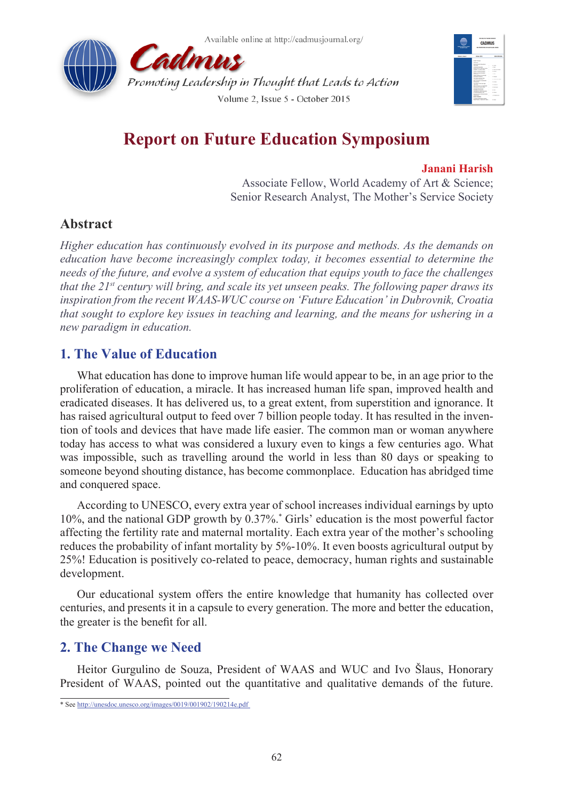



# **Report on Future Education Symposium**

### **Janani Harish**

Associate Fellow, World Academy of Art & Science; Senior Research Analyst, The Mother's Service Society

# **Abstract**

*Higher education has continuously evolved in its purpose and methods. As the demands on education have become increasingly complex today, it becomes essential to determine the needs of the future, and evolve a system of education that equips youth to face the challenges that the 21st century will bring, and scale its yet unseen peaks. The following paper draws its inspiration from the recent WAAS-WUC course on 'Future Education' in Dubrovnik, Croatia that sought to explore key issues in teaching and learning, and the means for ushering in a new paradigm in education.*

# **1. The Value of Education**

What education has done to improve human life would appear to be, in an age prior to the proliferation of education, a miracle. It has increased human life span, improved health and eradicated diseases. It has delivered us, to a great extent, from superstition and ignorance. It has raised agricultural output to feed over 7 billion people today. It has resulted in the invention of tools and devices that have made life easier. The common man or woman anywhere today has access to what was considered a luxury even to kings a few centuries ago. What was impossible, such as travelling around the world in less than 80 days or speaking to someone beyond shouting distance, has become commonplace. Education has abridged time and conquered space.

According to UNESCO, every extra year of school increases individual earnings by upto 10%, and the national GDP growth by 0.37%.\* Girls' education is the most powerful factor affecting the fertility rate and maternal mortality. Each extra year of the mother's schooling reduces the probability of infant mortality by 5%-10%. It even boosts agricultural output by 25%! Education is positively co-related to peace, democracy, human rights and sustainable development.

Our educational system offers the entire knowledge that humanity has collected over centuries, and presents it in a capsule to every generation. The more and better the education, the greater is the benefit for all.

# **2. The Change we Need**

Heitor Gurgulino de Souza, President of WAAS and WUC and Ivo Šlaus, Honorary President of WAAS, pointed out the quantitative and qualitative demands of the future.

<sup>\*</sup> See <http://unesdoc.unesco.org/images/0019/001902/190214e.pdf>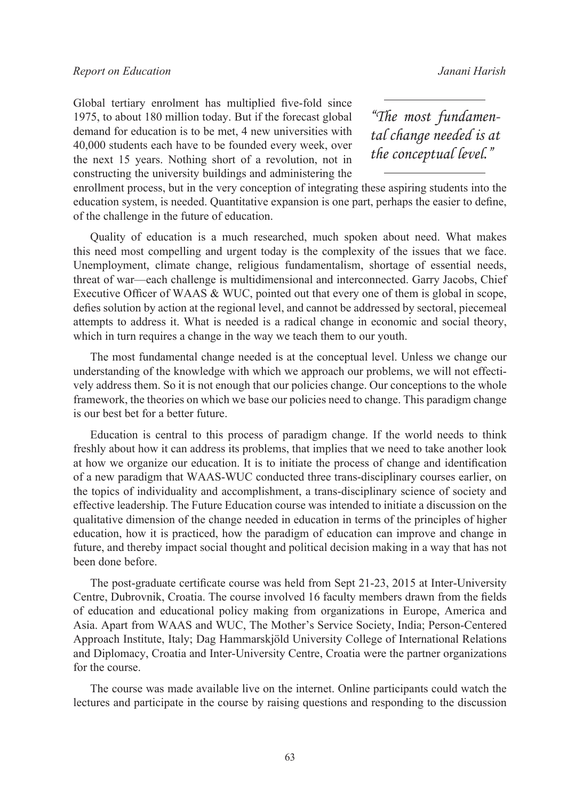### *Report on Education Janani Harish*

Global tertiary enrolment has multiplied five-fold since 1975, to about 180 million today. But if the forecast global demand for education is to be met, 4 new universities with 40,000 students each have to be founded every week, over the next 15 years. Nothing short of a revolution, not in constructing the university buildings and administering the

*"The most fundamental change needed is at the conceptual level."*

enrollment process, but in the very conception of integrating these aspiring students into the education system, is needed. Quantitative expansion is one part, perhaps the easier to define, of the challenge in the future of education.

Quality of education is a much researched, much spoken about need. What makes this need most compelling and urgent today is the complexity of the issues that we face. Unemployment, climate change, religious fundamentalism, shortage of essential needs, threat of war—each challenge is multidimensional and interconnected. Garry Jacobs, Chief Executive Officer of WAAS & WUC, pointed out that every one of them is global in scope, defies solution by action at the regional level, and cannot be addressed by sectoral, piecemeal attempts to address it. What is needed is a radical change in economic and social theory, which in turn requires a change in the way we teach them to our youth.

The most fundamental change needed is at the conceptual level. Unless we change our understanding of the knowledge with which we approach our problems, we will not effectively address them. So it is not enough that our policies change. Our conceptions to the whole framework, the theories on which we base our policies need to change. This paradigm change is our best bet for a better future.

Education is central to this process of paradigm change. If the world needs to think freshly about how it can address its problems, that implies that we need to take another look at how we organize our education. It is to initiate the process of change and identification of a new paradigm that WAAS-WUC conducted three trans-disciplinary courses earlier, on the topics of individuality and accomplishment, a trans-disciplinary science of society and effective leadership. The Future Education course was intended to initiate a discussion on the qualitative dimension of the change needed in education in terms of the principles of higher education, how it is practiced, how the paradigm of education can improve and change in future, and thereby impact social thought and political decision making in a way that has not been done before.

The post-graduate certificate course was held from Sept 21-23, 2015 at Inter-University Centre, Dubrovnik, Croatia. The course involved 16 faculty members drawn from the fields of education and educational policy making from organizations in Europe, America and Asia. Apart from WAAS and WUC, The Mother's Service Society, India; Person-Centered Approach Institute, Italy; Dag Hammarskjöld University College of International Relations and Diplomacy, Croatia and Inter-University Centre, Croatia were the partner organizations for the course.

The course was made available live on the internet. Online participants could watch the lectures and participate in the course by raising questions and responding to the discussion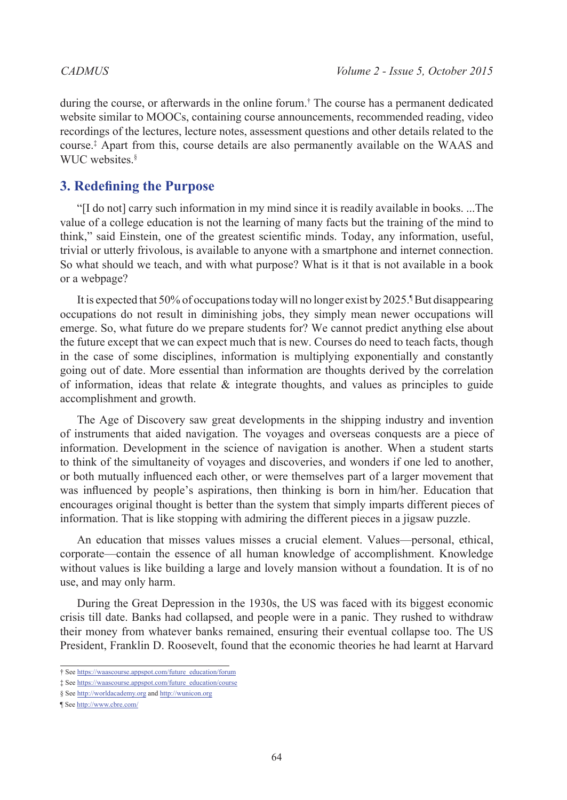during the course, or afterwards in the online forum.† The course has a permanent dedicated website similar to MOOCs, containing course announcements, recommended reading, video recordings of the lectures, lecture notes, assessment questions and other details related to the course.‡ Apart from this, course details are also permanently available on the WAAS and WUC websites<sup>§</sup>

# **3. Redefining the Purpose**

"[I do not] carry such information in my mind since it is readily available in books. ...The value of a college education is not the learning of many facts but the training of the mind to think," said Einstein, one of the greatest scientific minds. Today, any information, useful, trivial or utterly frivolous, is available to anyone with a smartphone and internet connection. So what should we teach, and with what purpose? What is it that is not available in a book or a webpage?

It is expected that 50% of occupations today will no longer exist by 2025.<sup>1</sup> But disappearing occupations do not result in diminishing jobs, they simply mean newer occupations will emerge. So, what future do we prepare students for? We cannot predict anything else about the future except that we can expect much that is new. Courses do need to teach facts, though in the case of some disciplines, information is multiplying exponentially and constantly going out of date. More essential than information are thoughts derived by the correlation of information, ideas that relate  $\&$  integrate thoughts, and values as principles to guide accomplishment and growth.

The Age of Discovery saw great developments in the shipping industry and invention of instruments that aided navigation. The voyages and overseas conquests are a piece of information. Development in the science of navigation is another. When a student starts to think of the simultaneity of voyages and discoveries, and wonders if one led to another, or both mutually influenced each other, or were themselves part of a larger movement that was influenced by people's aspirations, then thinking is born in him/her. Education that encourages original thought is better than the system that simply imparts different pieces of information. That is like stopping with admiring the different pieces in a jigsaw puzzle.

An education that misses values misses a crucial element. Values—personal, ethical, corporate—contain the essence of all human knowledge of accomplishment. Knowledge without values is like building a large and lovely mansion without a foundation. It is of no use, and may only harm.

During the Great Depression in the 1930s, the US was faced with its biggest economic crisis till date. Banks had collapsed, and people were in a panic. They rushed to withdraw their money from whatever banks remained, ensuring their eventual collapse too. The US President, Franklin D. Roosevelt, found that the economic theories he had learnt at Harvard

<sup>†</sup> See [https://waascourse.appspot.com/future\\_education/forum](https://waascourse.appspot.com/future_education/forum)

<sup>‡</sup> See [https://waascourse.appspot.com/future\\_education/course](https://waascourse.appspot.com/future_education/course)

<sup>§</sup> See <http://worldacademy.org> and<http://wunicon.org>

<sup>¶</sup> See<http://www.cbre.com/>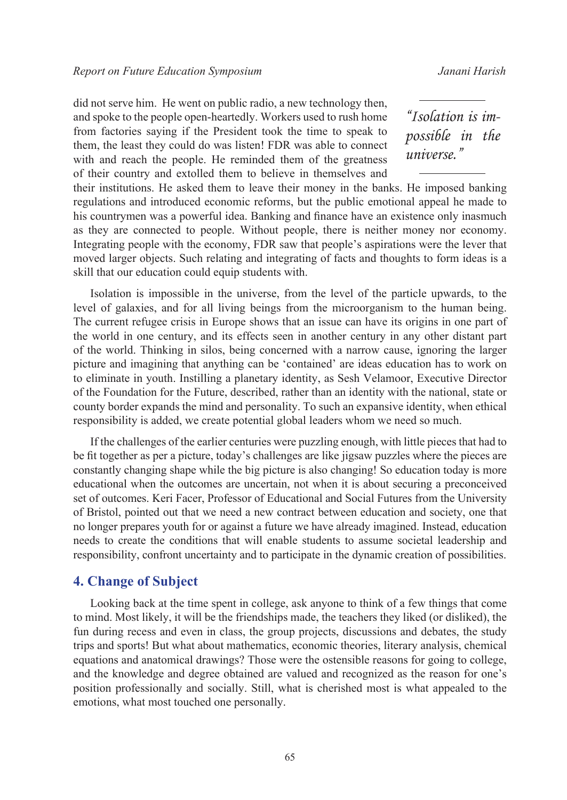did not serve him. He went on public radio, a new technology then, and spoke to the people open-heartedly. Workers used to rush home from factories saying if the President took the time to speak to them, the least they could do was listen! FDR was able to connect with and reach the people. He reminded them of the greatness of their country and extolled them to believe in themselves and

*"Isolation is impossible in the universe."*

their institutions. He asked them to leave their money in the banks. He imposed banking regulations and introduced economic reforms, but the public emotional appeal he made to his countrymen was a powerful idea. Banking and finance have an existence only inasmuch as they are connected to people. Without people, there is neither money nor economy. Integrating people with the economy, FDR saw that people's aspirations were the lever that moved larger objects. Such relating and integrating of facts and thoughts to form ideas is a skill that our education could equip students with.

Isolation is impossible in the universe, from the level of the particle upwards, to the level of galaxies, and for all living beings from the microorganism to the human being. The current refugee crisis in Europe shows that an issue can have its origins in one part of the world in one century, and its effects seen in another century in any other distant part of the world. Thinking in silos, being concerned with a narrow cause, ignoring the larger picture and imagining that anything can be 'contained' are ideas education has to work on to eliminate in youth. Instilling a planetary identity, as Sesh Velamoor, Executive Director of the Foundation for the Future, described, rather than an identity with the national, state or county border expands the mind and personality. To such an expansive identity, when ethical responsibility is added, we create potential global leaders whom we need so much.

If the challenges of the earlier centuries were puzzling enough, with little pieces that had to be fit together as per a picture, today's challenges are like jigsaw puzzles where the pieces are constantly changing shape while the big picture is also changing! So education today is more educational when the outcomes are uncertain, not when it is about securing a preconceived set of outcomes. Keri Facer, Professor of Educational and Social Futures from the University of Bristol, pointed out that we need a new contract between education and society, one that no longer prepares youth for or against a future we have already imagined. Instead, education needs to create the conditions that will enable students to assume societal leadership and responsibility, confront uncertainty and to participate in the dynamic creation of possibilities.

### **4. Change of Subject**

Looking back at the time spent in college, ask anyone to think of a few things that come to mind. Most likely, it will be the friendships made, the teachers they liked (or disliked), the fun during recess and even in class, the group projects, discussions and debates, the study trips and sports! But what about mathematics, economic theories, literary analysis, chemical equations and anatomical drawings? Those were the ostensible reasons for going to college, and the knowledge and degree obtained are valued and recognized as the reason for one's position professionally and socially. Still, what is cherished most is what appealed to the emotions, what most touched one personally.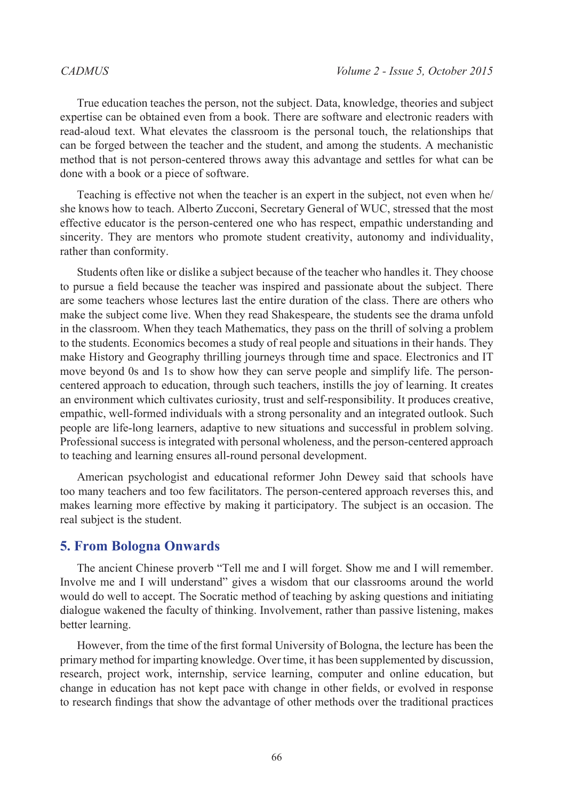True education teaches the person, not the subject. Data, knowledge, theories and subject expertise can be obtained even from a book. There are software and electronic readers with read-aloud text. What elevates the classroom is the personal touch, the relationships that can be forged between the teacher and the student, and among the students. A mechanistic method that is not person-centered throws away this advantage and settles for what can be done with a book or a piece of software.

Teaching is effective not when the teacher is an expert in the subject, not even when he/ she knows how to teach. Alberto Zucconi, Secretary General of WUC, stressed that the most effective educator is the person-centered one who has respect, empathic understanding and sincerity. They are mentors who promote student creativity, autonomy and individuality, rather than conformity.

Students often like or dislike a subject because of the teacher who handles it. They choose to pursue a field because the teacher was inspired and passionate about the subject. There are some teachers whose lectures last the entire duration of the class. There are others who make the subject come live. When they read Shakespeare, the students see the drama unfold in the classroom. When they teach Mathematics, they pass on the thrill of solving a problem to the students. Economics becomes a study of real people and situations in their hands. They make History and Geography thrilling journeys through time and space. Electronics and IT move beyond 0s and 1s to show how they can serve people and simplify life. The personcentered approach to education, through such teachers, instills the joy of learning. It creates an environment which cultivates curiosity, trust and self-responsibility. It produces creative, empathic, well-formed individuals with a strong personality and an integrated outlook. Such people are life-long learners, adaptive to new situations and successful in problem solving. Professional success is integrated with personal wholeness, and the person-centered approach to teaching and learning ensures all-round personal development.

American psychologist and educational reformer John Dewey said that schools have too many teachers and too few facilitators. The person-centered approach reverses this, and makes learning more effective by making it participatory. The subject is an occasion. The real subject is the student.

### **5. From Bologna Onwards**

The ancient Chinese proverb "Tell me and I will forget. Show me and I will remember. Involve me and I will understand" gives a wisdom that our classrooms around the world would do well to accept. The Socratic method of teaching by asking questions and initiating dialogue wakened the faculty of thinking. Involvement, rather than passive listening, makes better learning.

However, from the time of the first formal University of Bologna, the lecture has been the primary method for imparting knowledge. Over time, it has been supplemented by discussion, research, project work, internship, service learning, computer and online education, but change in education has not kept pace with change in other fields, or evolved in response to research findings that show the advantage of other methods over the traditional practices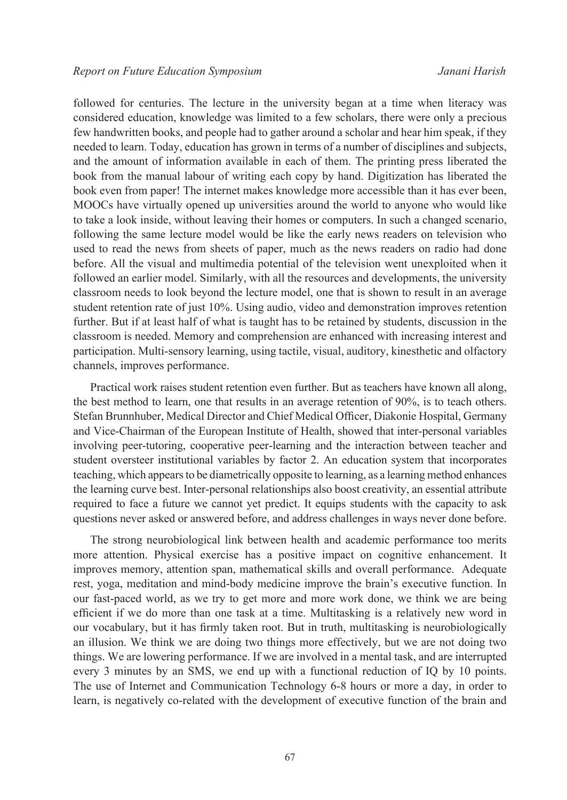followed for centuries. The lecture in the university began at a time when literacy was considered education, knowledge was limited to a few scholars, there were only a precious few handwritten books, and people had to gather around a scholar and hear him speak, if they needed to learn. Today, education has grown in terms of a number of disciplines and subjects, and the amount of information available in each of them. The printing press liberated the book from the manual labour of writing each copy by hand. Digitization has liberated the book even from paper! The internet makes knowledge more accessible than it has ever been, MOOCs have virtually opened up universities around the world to anyone who would like to take a look inside, without leaving their homes or computers. In such a changed scenario, following the same lecture model would be like the early news readers on television who used to read the news from sheets of paper, much as the news readers on radio had done before. All the visual and multimedia potential of the television went unexploited when it followed an earlier model. Similarly, with all the resources and developments, the university classroom needs to look beyond the lecture model, one that is shown to result in an average student retention rate of just 10%. Using audio, video and demonstration improves retention further. But if at least half of what is taught has to be retained by students, discussion in the classroom is needed. Memory and comprehension are enhanced with increasing interest and participation. Multi-sensory learning, using tactile, visual, auditory, kinesthetic and olfactory channels, improves performance.

Practical work raises student retention even further. But as teachers have known all along, the best method to learn, one that results in an average retention of 90%, is to teach others. Stefan Brunnhuber, Medical Director and Chief Medical Officer, Diakonie Hospital, Germany and Vice-Chairman of the European Institute of Health, showed that inter-personal variables involving peer-tutoring, cooperative peer-learning and the interaction between teacher and student oversteer institutional variables by factor 2. An education system that incorporates teaching, which appears to be diametrically opposite to learning, as a learning method enhances the learning curve best. Inter-personal relationships also boost creativity, an essential attribute required to face a future we cannot yet predict. It equips students with the capacity to ask questions never asked or answered before, and address challenges in ways never done before.

The strong neurobiological link between health and academic performance too merits more attention. Physical exercise has a positive impact on cognitive enhancement. It improves memory, attention span, mathematical skills and overall performance. Adequate rest, yoga, meditation and mind-body medicine improve the brain's executive function. In our fast-paced world, as we try to get more and more work done, we think we are being efficient if we do more than one task at a time. Multitasking is a relatively new word in our vocabulary, but it has firmly taken root. But in truth, multitasking is neurobiologically an illusion. We think we are doing two things more effectively, but we are not doing two things. We are lowering performance. If we are involved in a mental task, and are interrupted every 3 minutes by an SMS, we end up with a functional reduction of IQ by 10 points. The use of Internet and Communication Technology 6-8 hours or more a day, in order to learn, is negatively co-related with the development of executive function of the brain and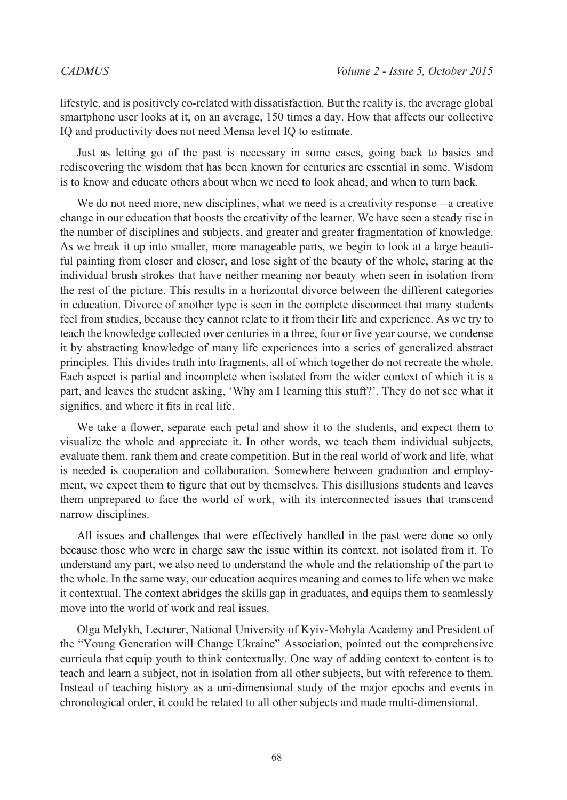lifestyle, and is positively co-related with dissatisfaction. But the reality is, the average global smartphone user looks at it, on an average, 150 times a day. How that affects our collective IQ and productivity does not need Mensa level IQ to estimate.

Just as letting go of the past is necessary in some cases, going back to basics and rediscovering the wisdom that has been known for centuries are essential in some. Wisdom is to know and educate others about when we need to look ahead, and when to turn back.

We do not need more, new disciplines, what we need is a creativity response—a creative change in our education that boosts the creativity of the learner. We have seen a steady rise in the number of disciplines and subjects, and greater and greater fragmentation of knowledge. As we break it up into smaller, more manageable parts, we begin to look at a large beautiful painting from closer and closer, and lose sight of the beauty of the whole, staring at the individual brush strokes that have neither meaning nor beauty when seen in isolation from the rest of the picture. This results in a horizontal divorce between the different categories in education. Divorce of another type is seen in the complete disconnect that many students feel from studies, because they cannot relate to it from their life and experience. As we try to teach the knowledge collected over centuries in a three, four or five year course, we condense it by abstracting knowledge of many life experiences into a series of generalized abstract principles. This divides truth into fragments, all of which together do not recreate the whole. Each aspect is partial and incomplete when isolated from the wider context of which it is a part, and leaves the student asking, 'Why am I learning this stuff?'. They do not see what it signifies, and where it fits in real life.

We take a flower, separate each petal and show it to the students, and expect them to visualize the whole and appreciate it. In other words, we teach them individual subjects, evaluate them, rank them and create competition. But in the real world of work and life, what is needed is cooperation and collaboration. Somewhere between graduation and employment, we expect them to figure that out by themselves. This disillusions students and leaves them unprepared to face the world of work, with its interconnected issues that transcend narrow disciplines.

All issues and challenges that were effectively handled in the past were done so only because those who were in charge saw the issue within its context, not isolated from it. To understand any part, we also need to understand the whole and the relationship of the part to the whole. In the same way, our education acquires meaning and comes to life when we make it contextual. The context abridges the skills gap in graduates, and equips them to seamlessly move into the world of work and real issues.

Olga Melykh, Lecturer, National University of Kyiv-Mohyla Academy and President of the "Young Generation will Change Ukraine" Association, pointed out the comprehensive curricula that equip youth to think contextually. One way of adding context to content is to teach and learn a subject, not in isolation from all other subjects, but with reference to them. Instead of teaching history as a uni-dimensional study of the major epochs and events in chronological order, it could be related to all other subjects and made multi-dimensional.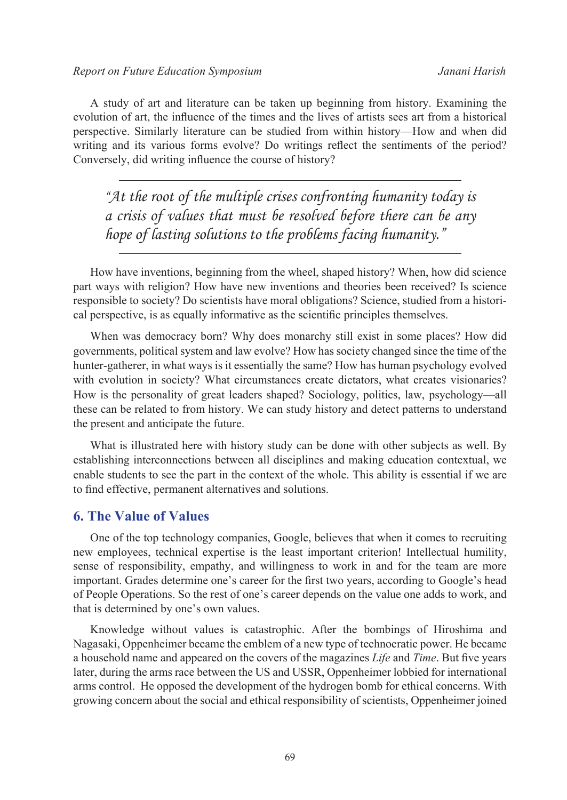A study of art and literature can be taken up beginning from history. Examining the evolution of art, the influence of the times and the lives of artists sees art from a historical perspective. Similarly literature can be studied from within history—How and when did writing and its various forms evolve? Do writings reflect the sentiments of the period? Conversely, did writing influence the course of history?

*"At the root of the multiple crises confronting humanity today is a crisis of values that must be resolved before there can be any hope of lasting solutions to the problems facing humanity."*

How have inventions, beginning from the wheel, shaped history? When, how did science part ways with religion? How have new inventions and theories been received? Is science responsible to society? Do scientists have moral obligations? Science, studied from a historical perspective, is as equally informative as the scientific principles themselves.

When was democracy born? Why does monarchy still exist in some places? How did governments, political system and law evolve? How has society changed since the time of the hunter-gatherer, in what ways is it essentially the same? How has human psychology evolved with evolution in society? What circumstances create dictators, what creates visionaries? How is the personality of great leaders shaped? Sociology, politics, law, psychology—all these can be related to from history. We can study history and detect patterns to understand the present and anticipate the future.

What is illustrated here with history study can be done with other subjects as well. By establishing interconnections between all disciplines and making education contextual, we enable students to see the part in the context of the whole. This ability is essential if we are to find effective, permanent alternatives and solutions.

### **6. The Value of Values**

One of the top technology companies, Google, believes that when it comes to recruiting new employees, technical expertise is the least important criterion! Intellectual humility, sense of responsibility, empathy, and willingness to work in and for the team are more important. Grades determine one's career for the first two years, according to Google's head of People Operations. So the rest of one's career depends on the value one adds to work, and that is determined by one's own values.

Knowledge without values is catastrophic. After the bombings of Hiroshima and Nagasaki, Oppenheimer became the emblem of a new type of technocratic power. He became a household name and appeared on the covers of the magazines *Life* and *Time*. But five years later, during the arms race between the US and USSR, Oppenheimer lobbied for international arms control. He opposed the development of the hydrogen bomb for ethical concerns. With growing concern about the social and ethical responsibility of scientists, Oppenheimer joined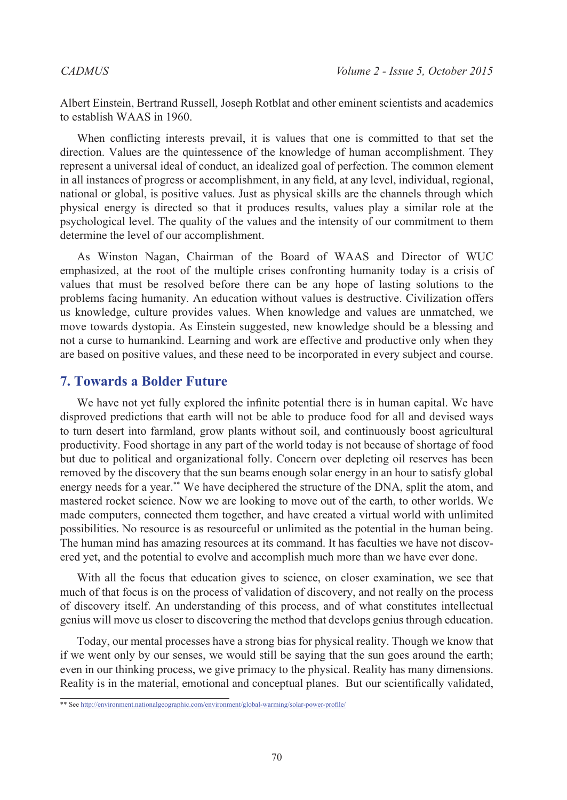Albert Einstein, Bertrand Russell, Joseph Rotblat and other eminent scientists and academics to establish WAAS in 1960.

When conflicting interests prevail, it is values that one is committed to that set the direction. Values are the quintessence of the knowledge of human accomplishment. They represent a universal ideal of conduct, an idealized goal of perfection. The common element in all instances of progress or accomplishment, in any field, at any level, individual, regional, national or global, is positive values. Just as physical skills are the channels through which physical energy is directed so that it produces results, values play a similar role at the psychological level. The quality of the values and the intensity of our commitment to them determine the level of our accomplishment.

As Winston Nagan, Chairman of the Board of WAAS and Director of WUC emphasized, at the root of the multiple crises confronting humanity today is a crisis of values that must be resolved before there can be any hope of lasting solutions to the problems facing humanity. An education without values is destructive. Civilization offers us knowledge, culture provides values. When knowledge and values are unmatched, we move towards dystopia. As Einstein suggested, new knowledge should be a blessing and not a curse to humankind. Learning and work are effective and productive only when they are based on positive values, and these need to be incorporated in every subject and course.

## **7. Towards a Bolder Future**

We have not yet fully explored the infinite potential there is in human capital. We have disproved predictions that earth will not be able to produce food for all and devised ways to turn desert into farmland, grow plants without soil, and continuously boost agricultural productivity. Food shortage in any part of the world today is not because of shortage of food but due to political and organizational folly. Concern over depleting oil reserves has been removed by the discovery that the sun beams enough solar energy in an hour to satisfy global energy needs for a year.\*\* We have deciphered the structure of the DNA, split the atom, and mastered rocket science. Now we are looking to move out of the earth, to other worlds. We made computers, connected them together, and have created a virtual world with unlimited possibilities. No resource is as resourceful or unlimited as the potential in the human being. The human mind has amazing resources at its command. It has faculties we have not discovered yet, and the potential to evolve and accomplish much more than we have ever done.

With all the focus that education gives to science, on closer examination, we see that much of that focus is on the process of validation of discovery, and not really on the process of discovery itself. An understanding of this process, and of what constitutes intellectual genius will move us closer to discovering the method that develops genius through education.

Today, our mental processes have a strong bias for physical reality. Though we know that if we went only by our senses, we would still be saying that the sun goes around the earth; even in our thinking process, we give primacy to the physical. Reality has many dimensions. Reality is in the material, emotional and conceptual planes. But our scientifically validated,

<sup>\*\*</sup> See <http://environment.nationalgeographic.com/environment/global-warming/solar-power-profile/>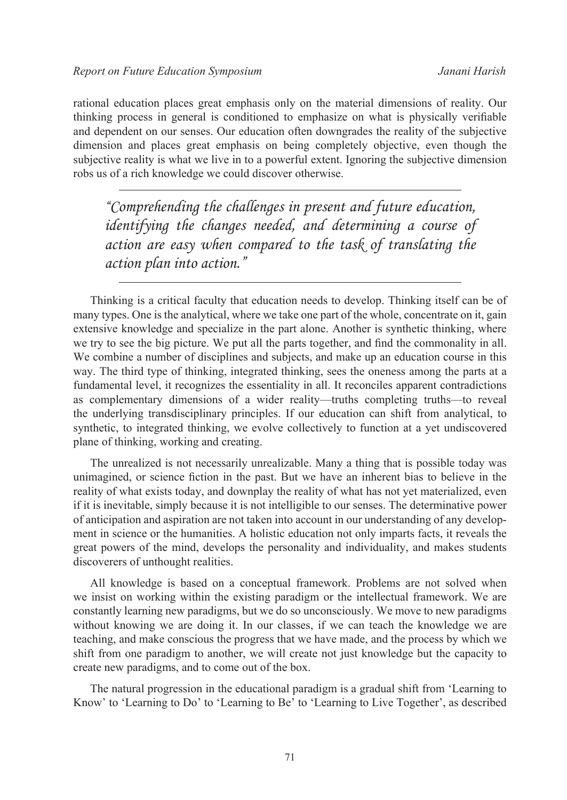rational education places great emphasis only on the material dimensions of reality. Our thinking process in general is conditioned to emphasize on what is physically verifiable and dependent on our senses. Our education often downgrades the reality of the subjective dimension and places great emphasis on being completely objective, even though the subjective reality is what we live in to a powerful extent. Ignoring the subjective dimension robs us of a rich knowledge we could discover otherwise.

*"Comprehending the challenges in present and future education, identifying the changes needed, and determining a course of action are easy when compared to the task of translating the action plan into action."*

Thinking is a critical faculty that education needs to develop. Thinking itself can be of many types. One is the analytical, where we take one part of the whole, concentrate on it, gain extensive knowledge and specialize in the part alone. Another is synthetic thinking, where we try to see the big picture. We put all the parts together, and find the commonality in all. We combine a number of disciplines and subjects, and make up an education course in this way. The third type of thinking, integrated thinking, sees the oneness among the parts at a fundamental level, it recognizes the essentiality in all. It reconciles apparent contradictions as complementary dimensions of a wider reality—truths completing truths—to reveal the underlying transdisciplinary principles. If our education can shift from analytical, to synthetic, to integrated thinking, we evolve collectively to function at a yet undiscovered plane of thinking, working and creating.

The unrealized is not necessarily unrealizable. Many a thing that is possible today was unimagined, or science fiction in the past. But we have an inherent bias to believe in the reality of what exists today, and downplay the reality of what has not yet materialized, even if it is inevitable, simply because it is not intelligible to our senses. The determinative power of anticipation and aspiration are not taken into account in our understanding of any development in science or the humanities. A holistic education not only imparts facts, it reveals the great powers of the mind, develops the personality and individuality, and makes students discoverers of unthought realities.

All knowledge is based on a conceptual framework. Problems are not solved when we insist on working within the existing paradigm or the intellectual framework. We are constantly learning new paradigms, but we do so unconsciously. We move to new paradigms without knowing we are doing it. In our classes, if we can teach the knowledge we are teaching, and make conscious the progress that we have made, and the process by which we shift from one paradigm to another, we will create not just knowledge but the capacity to create new paradigms, and to come out of the box.

The natural progression in the educational paradigm is a gradual shift from 'Learning to Know' to 'Learning to Do' to 'Learning to Be' to 'Learning to Live Together', as described